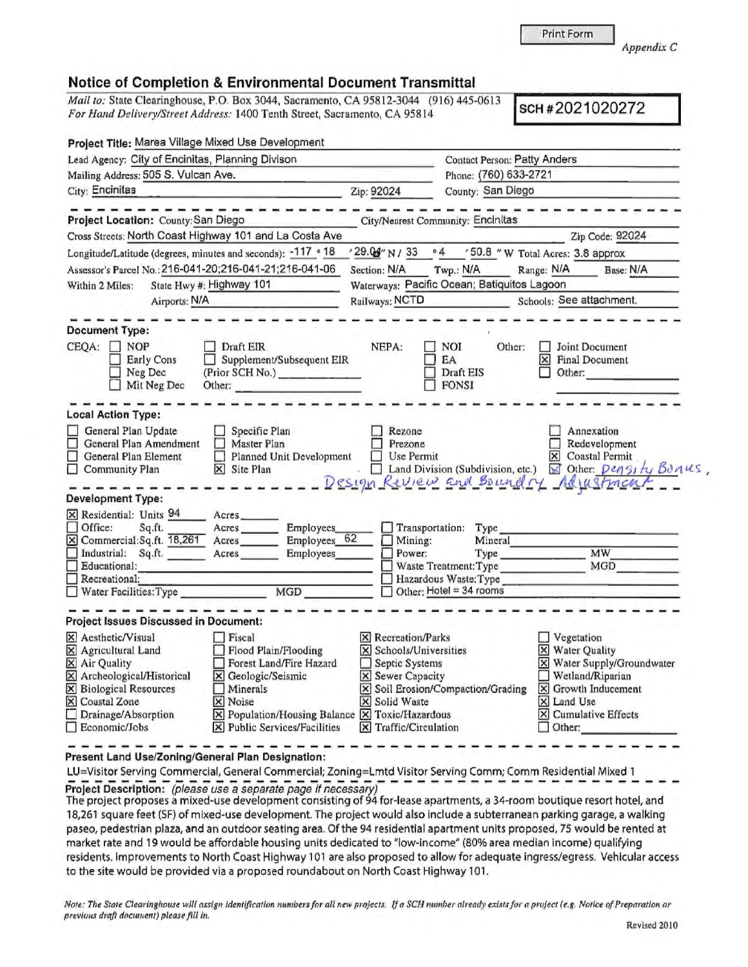Print Form

*Appendix C* 

## Notice of Completion & Environmental Document Transmittal

*Mail to:* State Clearinghouse, P.O. Box 3044, Sacramento, CA 95812-3044 (916) 445-0613 *For Hand Delivery/Street Address:* 1400 Tenth Street, Sacramento, CA 95814 **SCH #2021020272** 

| Project Title: Marea Village Mixed Use Development                              |                                                                                                                                                                                                                 |                                                                                                                                                                                                                                                                                                                                                                          |                                                                                                                                                                                                                                                                                                   |  |
|---------------------------------------------------------------------------------|-----------------------------------------------------------------------------------------------------------------------------------------------------------------------------------------------------------------|--------------------------------------------------------------------------------------------------------------------------------------------------------------------------------------------------------------------------------------------------------------------------------------------------------------------------------------------------------------------------|---------------------------------------------------------------------------------------------------------------------------------------------------------------------------------------------------------------------------------------------------------------------------------------------------|--|
| Lead Agency: City of Encinitas, Planning Divison                                |                                                                                                                                                                                                                 | <b>Contact Person: Patty Anders</b>                                                                                                                                                                                                                                                                                                                                      |                                                                                                                                                                                                                                                                                                   |  |
|                                                                                 | Phone: (760) 633-2721                                                                                                                                                                                           |                                                                                                                                                                                                                                                                                                                                                                          |                                                                                                                                                                                                                                                                                                   |  |
| Zip: 92024                                                                      | County: San Diego                                                                                                                                                                                               |                                                                                                                                                                                                                                                                                                                                                                          |                                                                                                                                                                                                                                                                                                   |  |
|                                                                                 |                                                                                                                                                                                                                 |                                                                                                                                                                                                                                                                                                                                                                          |                                                                                                                                                                                                                                                                                                   |  |
|                                                                                 |                                                                                                                                                                                                                 |                                                                                                                                                                                                                                                                                                                                                                          | Zip Code: 92024                                                                                                                                                                                                                                                                                   |  |
|                                                                                 |                                                                                                                                                                                                                 |                                                                                                                                                                                                                                                                                                                                                                          |                                                                                                                                                                                                                                                                                                   |  |
| Section: N/A                                                                    | Twp.: N/A                                                                                                                                                                                                       |                                                                                                                                                                                                                                                                                                                                                                          | Base: N/A                                                                                                                                                                                                                                                                                         |  |
|                                                                                 |                                                                                                                                                                                                                 |                                                                                                                                                                                                                                                                                                                                                                          |                                                                                                                                                                                                                                                                                                   |  |
|                                                                                 | Railways: NCTD                                                                                                                                                                                                  |                                                                                                                                                                                                                                                                                                                                                                          | Schools: See attachment.                                                                                                                                                                                                                                                                          |  |
| NEPA:                                                                           | <b>NOI</b>                                                                                                                                                                                                      |                                                                                                                                                                                                                                                                                                                                                                          | Joint Document<br><b>Final Document</b>                                                                                                                                                                                                                                                           |  |
| (Prior SCH No.)                                                                 | Draft EIS<br><b>FONSI</b>                                                                                                                                                                                       | Other:                                                                                                                                                                                                                                                                                                                                                                   |                                                                                                                                                                                                                                                                                                   |  |
|                                                                                 |                                                                                                                                                                                                                 |                                                                                                                                                                                                                                                                                                                                                                          |                                                                                                                                                                                                                                                                                                   |  |
| Rezone<br>Prezone<br>Planned Unit Development                                   |                                                                                                                                                                                                                 | ×                                                                                                                                                                                                                                                                                                                                                                        | Annexation<br>Redevelopment<br>Coastal Permit<br>⊠ Other: Density Bonus,<br>Adjustment                                                                                                                                                                                                            |  |
|                                                                                 |                                                                                                                                                                                                                 |                                                                                                                                                                                                                                                                                                                                                                          |                                                                                                                                                                                                                                                                                                   |  |
| Employees<br>Employees 62<br>Employees                                          | Type<br>Mineral                                                                                                                                                                                                 |                                                                                                                                                                                                                                                                                                                                                                          | <b>MW</b><br>MGD                                                                                                                                                                                                                                                                                  |  |
|                                                                                 |                                                                                                                                                                                                                 |                                                                                                                                                                                                                                                                                                                                                                          |                                                                                                                                                                                                                                                                                                   |  |
| Forest Land/Fire Hazard<br>$ \mathbf{\overline{X}} $ Public Services/Facilities |                                                                                                                                                                                                                 | $\Box$ Vegetation<br>X Water Quality<br>X Land Use<br>$\Box$ Other:                                                                                                                                                                                                                                                                                                      | X Water Supply/Groundwater<br>Wetland/Riparian<br>$ \mathsf{X} $ Growth Inducement<br>$\Xi$ Cumulative Effects                                                                                                                                                                                    |  |
|                                                                                 | Cross Streets: North Coast Highway 101 and La Costa Ave<br>Longitude/Latitude (degrees, minutes and seconds): -117 . 18<br>Assessor's Parcel No.: 216-041-20;216-041-21;216-041-06<br>Supplement/Subsequent EIR | 04<br>$'29.09''$ N / 33<br>EA<br>Use Permit<br>Transportation:<br>Mining:<br>Power:<br>Hazardous Waste: Type<br>Other: Hotel = $34$ rooms<br>$\times$ Recreation/Parks<br>X Schools/Universities<br>Septic Systems<br>X Sewer Capacity<br>X Solid Waste<br>$\boxed{\mathsf{X}}$ Population/Housing Balance $\boxed{\mathsf{X}}$ Toxic/Hazardous<br>X Traffic/Circulation | City/Nearest Community: Encinitas<br>'50.8 " W Total Acres: 3.8 approx<br>Range: N/A<br>Waterways: Pacific Ocean; Batiquitos Lagoon<br>Other:<br>$\times$<br>Land Division (Subdivision, etc.)<br>Design Review and Boundry<br>Type<br>Waste Treatment: Type<br>X Soil Erosion/Compaction/Grading |  |

**Present Land Use/Zoning/General Plan Designation:** 

LU=Visitor Serving Commercial, General Commercial; Zoning=Lmtd Visitor Serving Comm; Comm Residential Mixed 1 **Project Description:** (please use a separate page if necessary)

The project proposes a mixed-use development consisting of 94 for-lease apartments, a 34-room boutique resort hotel, and 18,261 square feet (SF) of mixed-use development. The project would also include a subte rranean parking garage, a walking paseo, pedestrian plaza, and an outdoor seating area. Of the 94 residential apartment units proposed, 75 would be rented at market rate and 19 would be affordable housing units dedicated to "low-income" (80% area median income) qualifying residents. Improvements to North Coast Highway 101 are also proposed to allow for adequate ingress/egress, Vehicular access to the site would be provided via a proposed roundabout on North Coast Highway 101 .

*Note: The State Clearinghouse will assign identification numbers for all new projects. If a SCH number already exists for a project (e.g. Notice of Preparation or*  $p$ *revious draft document*) please fill in.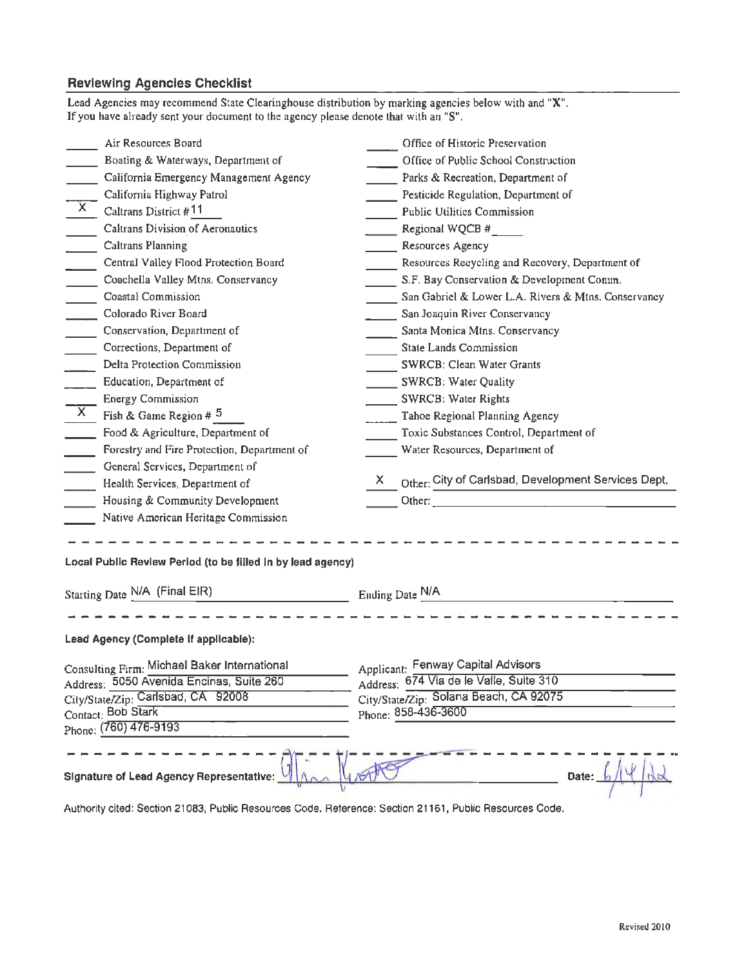## **Reviewing Agencies Checklist**

| If you have already sent your document to the agency please denote that with an "S".                    |                                                     |  |  |
|---------------------------------------------------------------------------------------------------------|-----------------------------------------------------|--|--|
| Air Resources Board                                                                                     | Office of Historic Preservation                     |  |  |
| Boating & Waterways, Department of                                                                      | Office of Public School Construction                |  |  |
| California Emergency Management Agency                                                                  | Parks & Recreation, Department of                   |  |  |
| California Highway Patrol<br>$\overline{X}$                                                             | Pesticide Regulation, Department of                 |  |  |
| Caltrans District #11                                                                                   | <b>Public Utilities Commission</b>                  |  |  |
| Caltrans Division of Aeronautics                                                                        | $\sim$ Regional WQCB #                              |  |  |
| $\mathcal{L}_{\text{max}}$<br><b>Caltrans Planning</b>                                                  | Resources Agency                                    |  |  |
| $\overline{\phantom{0}}$<br>Central Valley Flood Protection Board                                       | Resources Reeycling and Recovery, Department of     |  |  |
| $\mathcal{L}^{\text{max}}$<br>Coachella Valley Mtns. Conservancy                                        | S.F. Bay Conservation & Development Comm.           |  |  |
| $\mathcal{L}^{\text{max}}$<br>Coastal Commission                                                        | San Gabriel & Lower L.A. Rivers & Mtns. Conservancy |  |  |
| $\overline{\phantom{a}}$<br>Colorado River Board                                                        | San Joaquin River Conservancy                       |  |  |
| $\mathcal{L}^{\text{max}}$<br>Conservation, Department of                                               | Santa Monica Mtns. Conservancy                      |  |  |
| $\mathcal{L}^{\text{max}}$<br>Corrections, Department of                                                | State Lands Commission                              |  |  |
| Delta Protection Commission                                                                             | SWRCB: Clean Water Grants                           |  |  |
| Education, Department of                                                                                | SWRCB: Water Quality                                |  |  |
| <b>Energy Commission</b>                                                                                | SWRCB: Water Rights                                 |  |  |
| $\mathbf{X}$<br>Fish & Game Region # $5$                                                                | Tahoe Regional Planning Agency                      |  |  |
| Food & Agriculture, Department of                                                                       | Toxic Substances Control, Department of             |  |  |
| Forestry and Fire Protection, Department of<br>$\mathcal{L}^{\text{max}}$                               | Water Resources, Department of                      |  |  |
| General Services, Department of                                                                         |                                                     |  |  |
| Health Services, Department of                                                                          | X                                                   |  |  |
| Housing & Community Development                                                                         |                                                     |  |  |
| Native American Heritage Commission                                                                     |                                                     |  |  |
|                                                                                                         |                                                     |  |  |
| Local Public Review Period (to be filled in by lead agency)                                             |                                                     |  |  |
| Starting Date N/A (Final EIR) Ending Date N/A                                                           |                                                     |  |  |
|                                                                                                         |                                                     |  |  |
| Lead Agency (Complete If applicable):                                                                   |                                                     |  |  |
| Consulting Firm: Michael Baker International                                                            | Applicant: Fenway Capital Advisors                  |  |  |
| Address: 5050 Avenida Encinas, Suite 260                                                                | Address: 674 Via de le Valle, Suite 310             |  |  |
| City/State/Zip: Carlsbad, CA 92008                                                                      | City/State/Zip: Solana Beach, CA 92075              |  |  |
| Contact: Bob Stark                                                                                      | Phone: 858-436-3600                                 |  |  |
| Phone: (760) 476-9193                                                                                   |                                                     |  |  |
|                                                                                                         |                                                     |  |  |
| <b>Signature of Lead Agency Representative:</b>                                                         | Date:                                               |  |  |
| Authority cited: Section 21083, Public Resources Code. Reference: Section 21161, Public Resources Code. |                                                     |  |  |